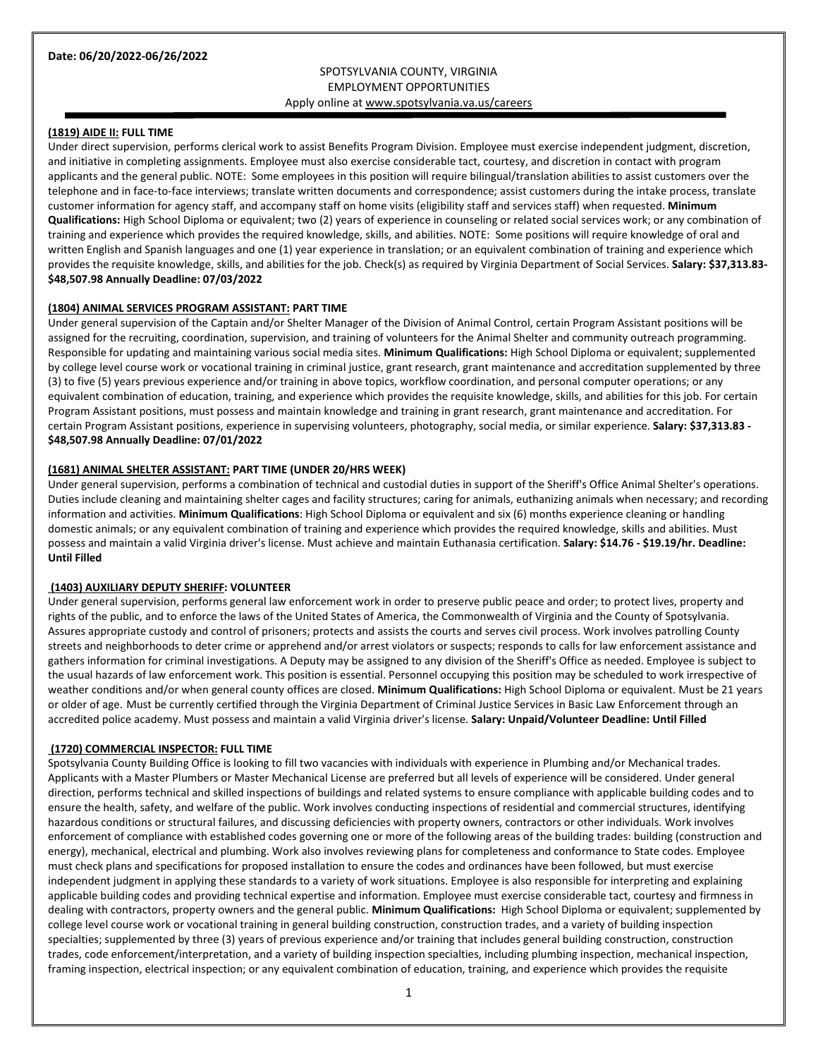# SPOTSYLVANIA COUNTY, VIRGINIA EMPLOYMENT OPPORTUNITIES Apply online a[t www.spotsylvania.va.us/careers](http://www.spotsylvania.va.us/careers)

# **(1819) AIDE II: FULL TIME**

Under direct supervision, performs clerical work to assist Benefits Program Division. Employee must exercise independent judgment, discretion, and initiative in completing assignments. Employee must also exercise considerable tact, courtesy, and discretion in contact with program applicants and the general public. NOTE: Some employees in this position will require bilingual/translation abilities to assist customers over the telephone and in face-to-face interviews; translate written documents and correspondence; assist customers during the intake process, translate customer information for agency staff, and accompany staff on home visits (eligibility staff and services staff) when requested. **Minimum Qualifications:** High School Diploma or equivalent; two (2) years of experience in counseling or related social services work; or any combination of training and experience which provides the required knowledge, skills, and abilities. NOTE: Some positions will require knowledge of oral and written English and Spanish languages and one (1) year experience in translation; or an equivalent combination of training and experience which provides the requisite knowledge, skills, and abilities for the job. Check(s) as required by Virginia Department of Social Services. **Salary: \$37,313.83- \$48,507.98 Annually Deadline: 07/03/2022**

#### **(1804) ANIMAL SERVICES PROGRAM ASSISTANT: PART TIME**

Under general supervision of the Captain and/or Shelter Manager of the Division of Animal Control, certain Program Assistant positions will be assigned for the recruiting, coordination, supervision, and training of volunteers for the Animal Shelter and community outreach programming. Responsible for updating and maintaining various social media sites. **Minimum Qualifications:** High School Diploma or equivalent; supplemented by college level course work or vocational training in criminal justice, grant research, grant maintenance and accreditation supplemented by three (3) to five (5) years previous experience and/or training in above topics, workflow coordination, and personal computer operations; or any equivalent combination of education, training, and experience which provides the requisite knowledge, skills, and abilities for this job. For certain Program Assistant positions, must possess and maintain knowledge and training in grant research, grant maintenance and accreditation. For certain Program Assistant positions, experience in supervising volunteers, photography, social media, or similar experience. **Salary: \$37,313.83 - \$48,507.98 Annually Deadline: 07/01/2022**

#### **(1681) ANIMAL SHELTER ASSISTANT: PART TIME (UNDER 20/HRS WEEK)**

Under general supervision, performs a combination of technical and custodial duties in support of the Sheriff's Office Animal Shelter's operations. Duties include cleaning and maintaining shelter cages and facility structures; caring for animals, euthanizing animals when necessary; and recording information and activities. **Minimum Qualifications**: High School Diploma or equivalent and six (6) months experience cleaning or handling domestic animals; or any equivalent combination of training and experience which provides the required knowledge, skills and abilities. Must possess and maintain a valid Virginia driver's license. Must achieve and maintain Euthanasia certification. **Salary: \$14.76 - \$19.19/hr. Deadline: Until Filled**

#### **(1403) AUXILIARY DEPUTY SHERIFF: VOLUNTEER**

Under general supervision, performs general law enforcement work in order to preserve public peace and order; to protect lives, property and rights of the public, and to enforce the laws of the United States of America, the Commonwealth of Virginia and the County of Spotsylvania. Assures appropriate custody and control of prisoners; protects and assists the courts and serves civil process. Work involves patrolling County streets and neighborhoods to deter crime or apprehend and/or arrest violators or suspects; responds to calls for law enforcement assistance and gathers information for criminal investigations. A Deputy may be assigned to any division of the Sheriff's Office as needed. Employee is subject to the usual hazards of law enforcement work. This position is essential. Personnel occupying this position may be scheduled to work irrespective of weather conditions and/or when general county offices are closed. **Minimum Qualifications:** High School Diploma or equivalent. Must be 21 years or older of age. Must be currently certified through the Virginia Department of Criminal Justice Services in Basic Law Enforcement through an accredited police academy. Must possess and maintain a valid Virginia driver's license. **Salary: Unpaid/Volunteer Deadline: Until Filled**

#### **(1720) COMMERCIAL INSPECTOR: FULL TIME**

Spotsylvania County Building Office is looking to fill two vacancies with individuals with experience in Plumbing and/or Mechanical trades. Applicants with a Master Plumbers or Master Mechanical License are preferred but all levels of experience will be considered. Under general direction, performs technical and skilled inspections of buildings and related systems to ensure compliance with applicable building codes and to ensure the health, safety, and welfare of the public. Work involves conducting inspections of residential and commercial structures, identifying hazardous conditions or structural failures, and discussing deficiencies with property owners, contractors or other individuals. Work involves enforcement of compliance with established codes governing one or more of the following areas of the building trades: building (construction and energy), mechanical, electrical and plumbing. Work also involves reviewing plans for completeness and conformance to State codes. Employee must check plans and specifications for proposed installation to ensure the codes and ordinances have been followed, but must exercise independent judgment in applying these standards to a variety of work situations. Employee is also responsible for interpreting and explaining applicable building codes and providing technical expertise and information. Employee must exercise considerable tact, courtesy and firmness in dealing with contractors, property owners and the general public. **Minimum Qualifications:** High School Diploma or equivalent; supplemented by college level course work or vocational training in general building construction, construction trades, and a variety of building inspection specialties; supplemented by three (3) years of previous experience and/or training that includes general building construction, construction trades, code enforcement/interpretation, and a variety of building inspection specialties, including plumbing inspection, mechanical inspection, framing inspection, electrical inspection; or any equivalent combination of education, training, and experience which provides the requisite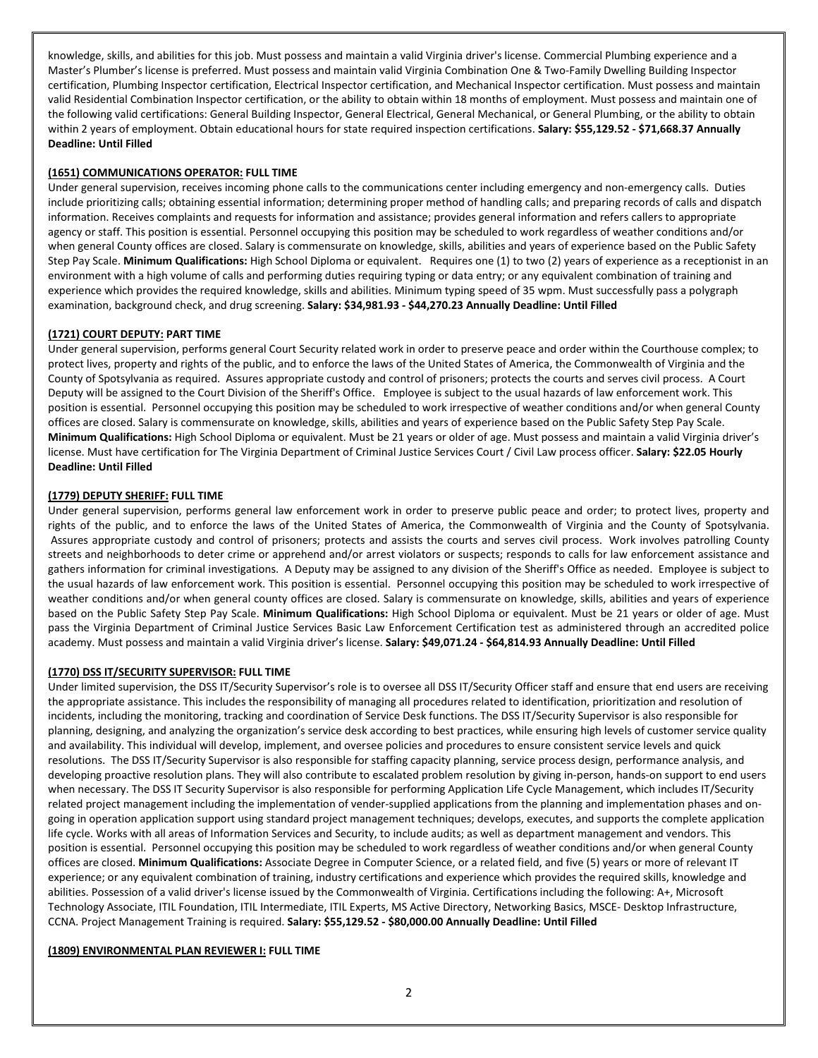knowledge, skills, and abilities for this job. Must possess and maintain a valid Virginia driver's license. Commercial Plumbing experience and a Master's Plumber's license is preferred. Must possess and maintain valid Virginia Combination One & Two-Family Dwelling Building Inspector certification, Plumbing Inspector certification, Electrical Inspector certification, and Mechanical Inspector certification. Must possess and maintain valid Residential Combination Inspector certification, or the ability to obtain within 18 months of employment. Must possess and maintain one of the following valid certifications: General Building Inspector, General Electrical, General Mechanical, or General Plumbing, or the ability to obtain within 2 years of employment. Obtain educational hours for state required inspection certifications. **Salary: \$55,129.52 - \$71,668.37 Annually Deadline: Until Filled**

## **(1651) COMMUNICATIONS OPERATOR: FULL TIME**

Under general supervision, receives incoming phone calls to the communications center including emergency and non-emergency calls. Duties include prioritizing calls; obtaining essential information; determining proper method of handling calls; and preparing records of calls and dispatch information. Receives complaints and requests for information and assistance; provides general information and refers callers to appropriate agency or staff. This position is essential. Personnel occupying this position may be scheduled to work regardless of weather conditions and/or when general County offices are closed. Salary is commensurate on knowledge, skills, abilities and years of experience based on the Public Safety Step Pay Scale. **Minimum Qualifications:** High School Diploma or equivalent. Requires one (1) to two (2) years of experience as a receptionist in an environment with a high volume of calls and performing duties requiring typing or data entry; or any equivalent combination of training and experience which provides the required knowledge, skills and abilities. Minimum typing speed of 35 wpm. Must successfully pass a polygraph examination, background check, and drug screening. **Salary: \$34,981.93 - \$44,270.23 Annually Deadline: Until Filled**

## **(1721) COURT DEPUTY: PART TIME**

Under general supervision, performs general Court Security related work in order to preserve peace and order within the Courthouse complex; to protect lives, property and rights of the public, and to enforce the laws of the United States of America, the Commonwealth of Virginia and the County of Spotsylvania as required. Assures appropriate custody and control of prisoners; protects the courts and serves civil process. A Court Deputy will be assigned to the Court Division of the Sheriff's Office. Employee is subject to the usual hazards of law enforcement work. This position is essential. Personnel occupying this position may be scheduled to work irrespective of weather conditions and/or when general County offices are closed. Salary is commensurate on knowledge, skills, abilities and years of experience based on the Public Safety Step Pay Scale. **Minimum Qualifications:** High School Diploma or equivalent. Must be 21 years or older of age. Must possess and maintain a valid Virginia driver's license. Must have certification for The Virginia Department of Criminal Justice Services Court / Civil Law process officer. **Salary: \$22.05 Hourly Deadline: Until Filled**

## **(1779) DEPUTY SHERIFF: FULL TIME**

Under general supervision, performs general law enforcement work in order to preserve public peace and order; to protect lives, property and rights of the public, and to enforce the laws of the United States of America, the Commonwealth of Virginia and the County of Spotsylvania. Assures appropriate custody and control of prisoners; protects and assists the courts and serves civil process. Work involves patrolling County streets and neighborhoods to deter crime or apprehend and/or arrest violators or suspects; responds to calls for law enforcement assistance and gathers information for criminal investigations. A Deputy may be assigned to any division of the Sheriff's Office as needed. Employee is subject to the usual hazards of law enforcement work. This position is essential. Personnel occupying this position may be scheduled to work irrespective of weather conditions and/or when general county offices are closed. Salary is commensurate on knowledge, skills, abilities and years of experience based on the Public Safety Step Pay Scale. **Minimum Qualifications:** High School Diploma or equivalent. Must be 21 years or older of age. Must pass the Virginia Department of Criminal Justice Services Basic Law Enforcement Certification test as administered through an accredited police academy. Must possess and maintain a valid Virginia driver's license. **Salary: \$49,071.24 - \$64,814.93 Annually Deadline: Until Filled**

#### **(1770) DSS IT/SECURITY SUPERVISOR: FULL TIME**

Under limited supervision, the DSS IT/Security Supervisor's role is to oversee all DSS IT/Security Officer staff and ensure that end users are receiving the appropriate assistance. This includes the responsibility of managing all procedures related to identification, prioritization and resolution of incidents, including the monitoring, tracking and coordination of Service Desk functions. The DSS IT/Security Supervisor is also responsible for planning, designing, and analyzing the organization's service desk according to best practices, while ensuring high levels of customer service quality and availability. This individual will develop, implement, and oversee policies and procedures to ensure consistent service levels and quick resolutions. The DSS IT/Security Supervisor is also responsible for staffing capacity planning, service process design, performance analysis, and developing proactive resolution plans. They will also contribute to escalated problem resolution by giving in-person, hands-on support to end users when necessary. The DSS IT Security Supervisor is also responsible for performing Application Life Cycle Management, which includes IT/Security related project management including the implementation of vender-supplied applications from the planning and implementation phases and ongoing in operation application support using standard project management techniques; develops, executes, and supports the complete application life cycle. Works with all areas of Information Services and Security, to include audits; as well as department management and vendors. This position is essential. Personnel occupying this position may be scheduled to work regardless of weather conditions and/or when general County offices are closed. **Minimum Qualifications:** Associate Degree in Computer Science, or a related field, and five (5) years or more of relevant IT experience; or any equivalent combination of training, industry certifications and experience which provides the required skills, knowledge and abilities. Possession of a valid driver's license issued by the Commonwealth of Virginia. Certifications including the following: A+, Microsoft Technology Associate, ITIL Foundation, ITIL Intermediate, ITIL Experts, MS Active Directory, Networking Basics, MSCE- Desktop Infrastructure, CCNA. Project Management Training is required. **Salary: \$55,129.52 - \$80,000.00 Annually Deadline: Until Filled**

#### **(1809) ENVIRONMENTAL PLAN REVIEWER I: FULL TIME**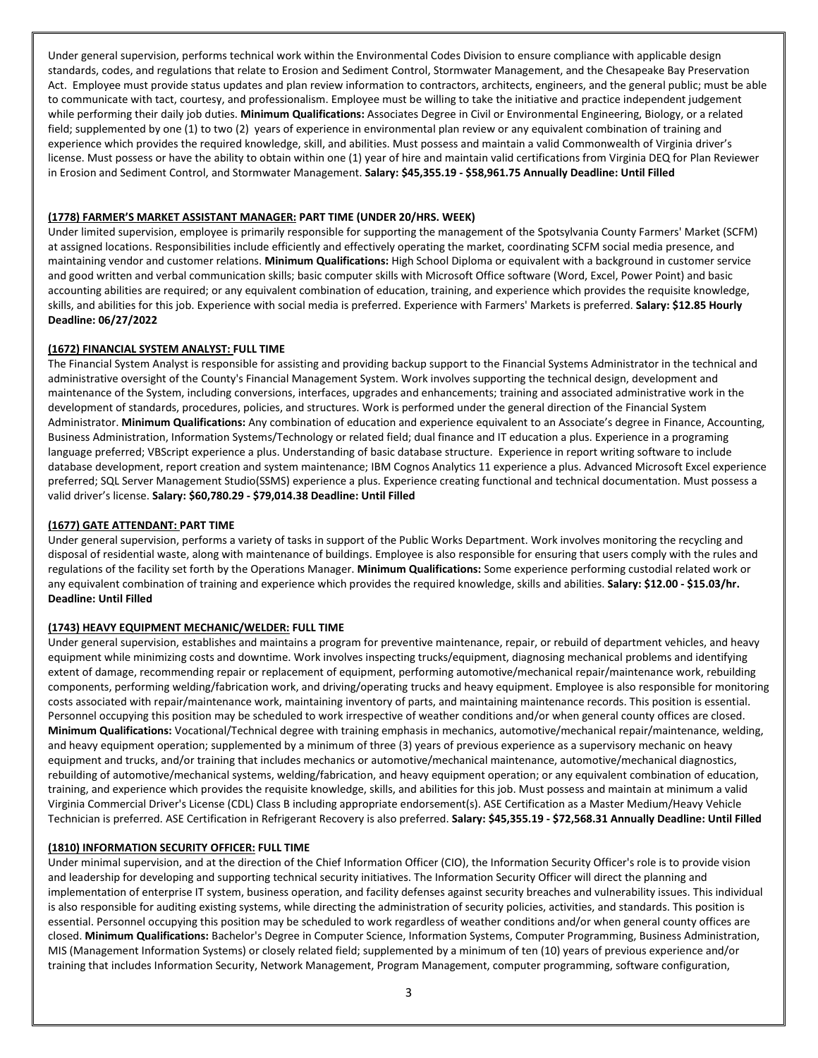Under general supervision, performs technical work within the Environmental Codes Division to ensure compliance with applicable design standards, codes, and regulations that relate to Erosion and Sediment Control, Stormwater Management, and the Chesapeake Bay Preservation Act. Employee must provide status updates and plan review information to contractors, architects, engineers, and the general public; must be able to communicate with tact, courtesy, and professionalism. Employee must be willing to take the initiative and practice independent judgement while performing their daily job duties. **Minimum Qualifications:** Associates Degree in Civil or Environmental Engineering, Biology, or a related field; supplemented by one (1) to two (2) years of experience in environmental plan review or any equivalent combination of training and experience which provides the required knowledge, skill, and abilities. Must possess and maintain a valid Commonwealth of Virginia driver's license. Must possess or have the ability to obtain within one (1) year of hire and maintain valid certifications from Virginia DEQ for Plan Reviewer in Erosion and Sediment Control, and Stormwater Management. **Salary: \$45,355.19 - \$58,961.75 Annually Deadline: Until Filled**

## **(1778) FARMER'S MARKET ASSISTANT MANAGER: PART TIME (UNDER 20/HRS. WEEK)**

Under limited supervision, employee is primarily responsible for supporting the management of the Spotsylvania County Farmers' Market (SCFM) at assigned locations. Responsibilities include efficiently and effectively operating the market, coordinating SCFM social media presence, and maintaining vendor and customer relations. **Minimum Qualifications:** High School Diploma or equivalent with a background in customer service and good written and verbal communication skills; basic computer skills with Microsoft Office software (Word, Excel, Power Point) and basic accounting abilities are required; or any equivalent combination of education, training, and experience which provides the requisite knowledge, skills, and abilities for this job. Experience with social media is preferred. Experience with Farmers' Markets is preferred. **Salary: \$12.85 Hourly Deadline: 06/27/2022**

# **(1672) FINANCIAL SYSTEM ANALYST: FULL TIME**

The Financial System Analyst is responsible for assisting and providing backup support to the Financial Systems Administrator in the technical and administrative oversight of the County's Financial Management System. Work involves supporting the technical design, development and maintenance of the System, including conversions, interfaces, upgrades and enhancements; training and associated administrative work in the development of standards, procedures, policies, and structures. Work is performed under the general direction of the Financial System Administrator. **Minimum Qualifications:** Any combination of education and experience equivalent to an Associate's degree in Finance, Accounting, Business Administration, Information Systems/Technology or related field; dual finance and IT education a plus. Experience in a programing language preferred; VBScript experience a plus. Understanding of basic database structure. Experience in report writing software to include database development, report creation and system maintenance; IBM Cognos Analytics 11 experience a plus. Advanced Microsoft Excel experience preferred; SQL Server Management Studio(SSMS) experience a plus. Experience creating functional and technical documentation. Must possess a valid driver's license. **Salary: \$60,780.29 - \$79,014.38 Deadline: Until Filled**

## **(1677) GATE ATTENDANT: PART TIME**

Under general supervision, performs a variety of tasks in support of the Public Works Department. Work involves monitoring the recycling and disposal of residential waste, along with maintenance of buildings. Employee is also responsible for ensuring that users comply with the rules and regulations of the facility set forth by the Operations Manager. **Minimum Qualifications:** Some experience performing custodial related work or any equivalent combination of training and experience which provides the required knowledge, skills and abilities. **Salary: \$12.00 - \$15.03/hr. Deadline: Until Filled**

#### **(1743) HEAVY EQUIPMENT MECHANIC/WELDER: FULL TIME**

Under general supervision, establishes and maintains a program for preventive maintenance, repair, or rebuild of department vehicles, and heavy equipment while minimizing costs and downtime. Work involves inspecting trucks/equipment, diagnosing mechanical problems and identifying extent of damage, recommending repair or replacement of equipment, performing automotive/mechanical repair/maintenance work, rebuilding components, performing welding/fabrication work, and driving/operating trucks and heavy equipment. Employee is also responsible for monitoring costs associated with repair/maintenance work, maintaining inventory of parts, and maintaining maintenance records. This position is essential. Personnel occupying this position may be scheduled to work irrespective of weather conditions and/or when general county offices are closed. **Minimum Qualifications:** Vocational/Technical degree with training emphasis in mechanics, automotive/mechanical repair/maintenance, welding, and heavy equipment operation; supplemented by a minimum of three (3) years of previous experience as a supervisory mechanic on heavy equipment and trucks, and/or training that includes mechanics or automotive/mechanical maintenance, automotive/mechanical diagnostics, rebuilding of automotive/mechanical systems, welding/fabrication, and heavy equipment operation; or any equivalent combination of education, training, and experience which provides the requisite knowledge, skills, and abilities for this job. Must possess and maintain at minimum a valid Virginia Commercial Driver's License (CDL) Class B including appropriate endorsement(s). ASE Certification as a Master Medium/Heavy Vehicle Technician is preferred. ASE Certification in Refrigerant Recovery is also preferred. **Salary: \$45,355.19 - \$72,568.31 Annually Deadline: Until Filled**

#### **(1810) INFORMATION SECURITY OFFICER: FULL TIME**

Under minimal supervision, and at the direction of the Chief Information Officer (CIO), the Information Security Officer's role is to provide vision and leadership for developing and supporting technical security initiatives. The Information Security Officer will direct the planning and implementation of enterprise IT system, business operation, and facility defenses against security breaches and vulnerability issues. This individual is also responsible for auditing existing systems, while directing the administration of security policies, activities, and standards. This position is essential. Personnel occupying this position may be scheduled to work regardless of weather conditions and/or when general county offices are closed. **Minimum Qualifications:** Bachelor's Degree in Computer Science, Information Systems, Computer Programming, Business Administration, MIS (Management Information Systems) or closely related field; supplemented by a minimum of ten (10) years of previous experience and/or training that includes Information Security, Network Management, Program Management, computer programming, software configuration,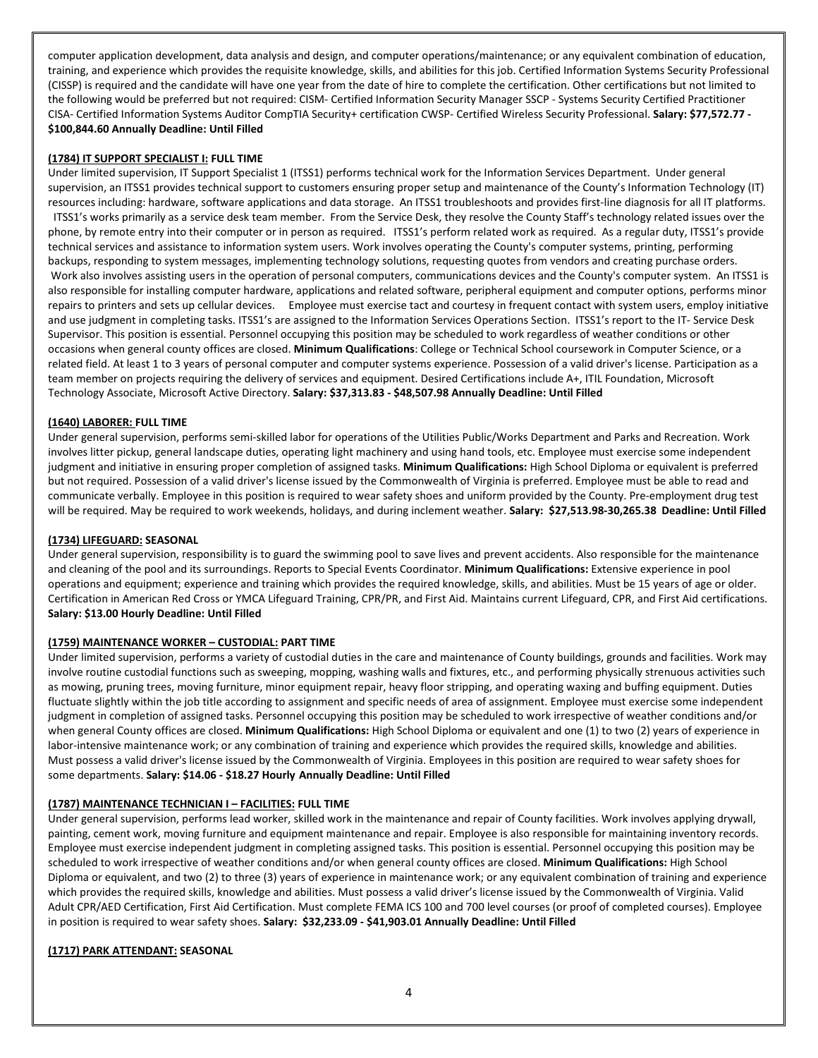computer application development, data analysis and design, and computer operations/maintenance; or any equivalent combination of education, training, and experience which provides the requisite knowledge, skills, and abilities for this job. Certified Information Systems Security Professional (CISSP) is required and the candidate will have one year from the date of hire to complete the certification. Other certifications but not limited to the following would be preferred but not required: CISM- Certified Information Security Manager SSCP - Systems Security Certified Practitioner CISA- Certified Information Systems Auditor CompTIA Security+ certification CWSP- Certified Wireless Security Professional. **Salary: \$77,572.77 - \$100,844.60 Annually Deadline: Until Filled**

## **(1784) IT SUPPORT SPECIALIST I: FULL TIME**

Under limited supervision, IT Support Specialist 1 (ITSS1) performs technical work for the Information Services Department. Under general supervision, an ITSS1 provides technical support to customers ensuring proper setup and maintenance of the County's Information Technology (IT) resources including: hardware, software applications and data storage. An ITSS1 troubleshoots and provides first-line diagnosis for all IT platforms. ITSS1's works primarily as a service desk team member. From the Service Desk, they resolve the County Staff's technology related issues over the phone, by remote entry into their computer or in person as required. ITSS1's perform related work as required. As a regular duty, ITSS1's provide technical services and assistance to information system users. Work involves operating the County's computer systems, printing, performing backups, responding to system messages, implementing technology solutions, requesting quotes from vendors and creating purchase orders. Work also involves assisting users in the operation of personal computers, communications devices and the County's computer system. An ITSS1 is also responsible for installing computer hardware, applications and related software, peripheral equipment and computer options, performs minor repairs to printers and sets up cellular devices. Employee must exercise tact and courtesy in frequent contact with system users, employ initiative and use judgment in completing tasks. ITSS1's are assigned to the Information Services Operations Section. ITSS1's report to the IT- Service Desk Supervisor. This position is essential. Personnel occupying this position may be scheduled to work regardless of weather conditions or other occasions when general county offices are closed. **Minimum Qualifications**: College or Technical School coursework in Computer Science, or a related field. At least 1 to 3 years of personal computer and computer systems experience. Possession of a valid driver's license. Participation as a team member on projects requiring the delivery of services and equipment. Desired Certifications include A+, ITIL Foundation, Microsoft Technology Associate, Microsoft Active Directory. **Salary: \$37,313.83 - \$48,507.98 Annually Deadline: Until Filled**

## **(1640) LABORER: FULL TIME**

Under general supervision, performs semi-skilled labor for operations of the Utilities Public/Works Department and Parks and Recreation. Work involves litter pickup, general landscape duties, operating light machinery and using hand tools, etc. Employee must exercise some independent judgment and initiative in ensuring proper completion of assigned tasks. **Minimum Qualifications:** High School Diploma or equivalent is preferred but not required. Possession of a valid driver's license issued by the Commonwealth of Virginia is preferred. Employee must be able to read and communicate verbally. Employee in this position is required to wear safety shoes and uniform provided by the County. Pre-employment drug test will be required. May be required to work weekends, holidays, and during inclement weather. **Salary: \$27,513.98-30,265.38 Deadline: Until Filled**

#### **(1734) LIFEGUARD: SEASONAL**

Under general supervision, responsibility is to guard the swimming pool to save lives and prevent accidents. Also responsible for the maintenance and cleaning of the pool and its surroundings. Reports to Special Events Coordinator. **Minimum Qualifications:** Extensive experience in pool operations and equipment; experience and training which provides the required knowledge, skills, and abilities. Must be 15 years of age or older. Certification in American Red Cross or YMCA Lifeguard Training, CPR/PR, and First Aid. Maintains current Lifeguard, CPR, and First Aid certifications. **Salary: \$13.00 Hourly Deadline: Until Filled**

# **(1759) MAINTENANCE WORKER – CUSTODIAL: PART TIME**

Under limited supervision, performs a variety of custodial duties in the care and maintenance of County buildings, grounds and facilities. Work may involve routine custodial functions such as sweeping, mopping, washing walls and fixtures, etc., and performing physically strenuous activities such as mowing, pruning trees, moving furniture, minor equipment repair, heavy floor stripping, and operating waxing and buffing equipment. Duties fluctuate slightly within the job title according to assignment and specific needs of area of assignment. Employee must exercise some independent judgment in completion of assigned tasks. Personnel occupying this position may be scheduled to work irrespective of weather conditions and/or when general County offices are closed. **Minimum Qualifications:** High School Diploma or equivalent and one (1) to two (2) years of experience in labor-intensive maintenance work; or any combination of training and experience which provides the required skills, knowledge and abilities. Must possess a valid driver's license issued by the Commonwealth of Virginia. Employees in this position are required to wear safety shoes for some departments. **Salary: \$14.06 - \$18.27 Hourly Annually Deadline: Until Filled**

# **(1787) MAINTENANCE TECHNICIAN I – FACILITIES: FULL TIME**

Under general supervision, performs lead worker, skilled work in the maintenance and repair of County facilities. Work involves applying drywall, painting, cement work, moving furniture and equipment maintenance and repair. Employee is also responsible for maintaining inventory records. Employee must exercise independent judgment in completing assigned tasks. This position is essential. Personnel occupying this position may be scheduled to work irrespective of weather conditions and/or when general county offices are closed. **Minimum Qualifications:** High School Diploma or equivalent, and two (2) to three (3) years of experience in maintenance work; or any equivalent combination of training and experience which provides the required skills, knowledge and abilities. Must possess a valid driver's license issued by the Commonwealth of Virginia. Valid Adult CPR/AED Certification, First Aid Certification. Must complete FEMA ICS 100 and 700 level courses (or proof of completed courses). Employee in position is required to wear safety shoes. **Salary: \$32,233.09 - \$41,903.01 Annually Deadline: Until Filled**

# **(1717) PARK ATTENDANT: SEASONAL**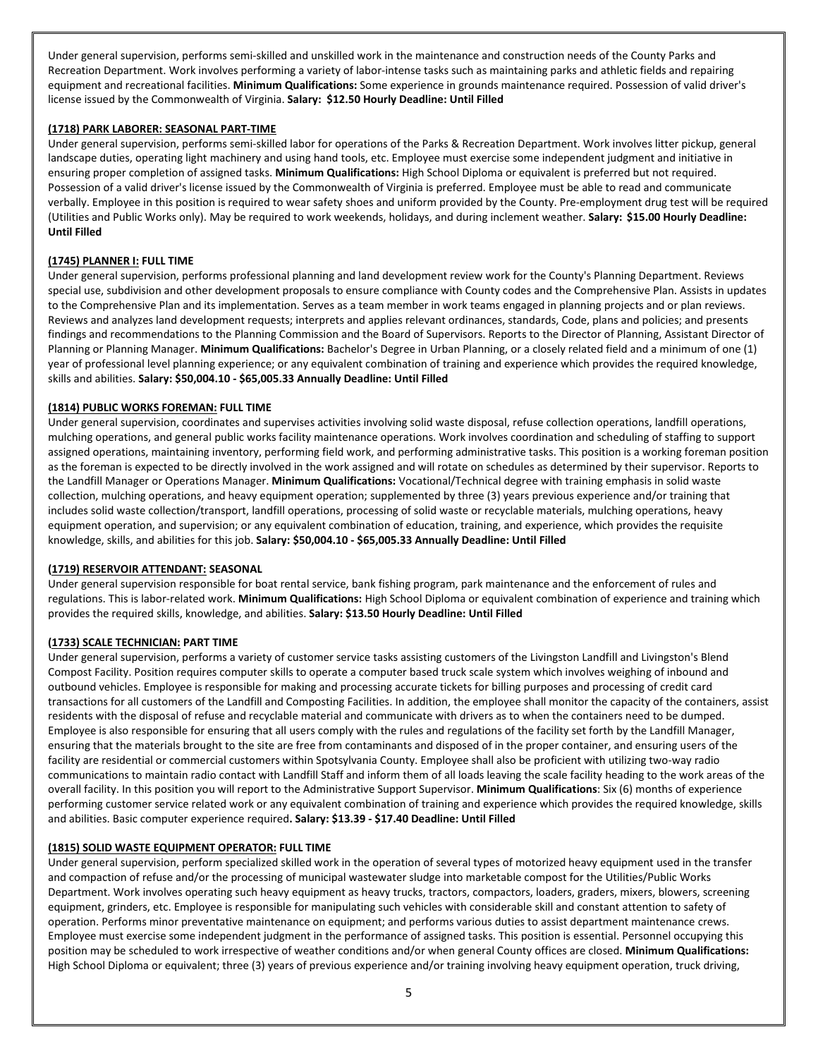Under general supervision, performs semi-skilled and unskilled work in the maintenance and construction needs of the County Parks and Recreation Department. Work involves performing a variety of labor-intense tasks such as maintaining parks and athletic fields and repairing equipment and recreational facilities. **Minimum Qualifications:** Some experience in grounds maintenance required. Possession of valid driver's license issued by the Commonwealth of Virginia. **Salary: \$12.50 Hourly Deadline: Until Filled**

# **(1718) PARK LABORER: SEASONAL PART-TIME**

Under general supervision, performs semi-skilled labor for operations of the Parks & Recreation Department. Work involves litter pickup, general landscape duties, operating light machinery and using hand tools, etc. Employee must exercise some independent judgment and initiative in ensuring proper completion of assigned tasks. **Minimum Qualifications:** High School Diploma or equivalent is preferred but not required. Possession of a valid driver's license issued by the Commonwealth of Virginia is preferred. Employee must be able to read and communicate verbally. Employee in this position is required to wear safety shoes and uniform provided by the County. Pre-employment drug test will be required (Utilities and Public Works only). May be required to work weekends, holidays, and during inclement weather. **Salary: \$15.00 Hourly Deadline: Until Filled**

#### **(1745) PLANNER I: FULL TIME**

Under general supervision, performs professional planning and land development review work for the County's Planning Department. Reviews special use, subdivision and other development proposals to ensure compliance with County codes and the Comprehensive Plan. Assists in updates to the Comprehensive Plan and its implementation. Serves as a team member in work teams engaged in planning projects and or plan reviews. Reviews and analyzes land development requests; interprets and applies relevant ordinances, standards, Code, plans and policies; and presents findings and recommendations to the Planning Commission and the Board of Supervisors. Reports to the Director of Planning, Assistant Director of Planning or Planning Manager. **Minimum Qualifications:** Bachelor's Degree in Urban Planning, or a closely related field and a minimum of one (1) year of professional level planning experience; or any equivalent combination of training and experience which provides the required knowledge, skills and abilities. **Salary: \$50,004.10 - \$65,005.33 Annually Deadline: Until Filled**

## **(1814) PUBLIC WORKS FOREMAN: FULL TIME**

Under general supervision, coordinates and supervises activities involving solid waste disposal, refuse collection operations, landfill operations, mulching operations, and general public works facility maintenance operations. Work involves coordination and scheduling of staffing to support assigned operations, maintaining inventory, performing field work, and performing administrative tasks. This position is a working foreman position as the foreman is expected to be directly involved in the work assigned and will rotate on schedules as determined by their supervisor. Reports to the Landfill Manager or Operations Manager. **Minimum Qualifications:** Vocational/Technical degree with training emphasis in solid waste collection, mulching operations, and heavy equipment operation; supplemented by three (3) years previous experience and/or training that includes solid waste collection/transport, landfill operations, processing of solid waste or recyclable materials, mulching operations, heavy equipment operation, and supervision; or any equivalent combination of education, training, and experience, which provides the requisite knowledge, skills, and abilities for this job. **Salary: \$50,004.10 - \$65,005.33 Annually Deadline: Until Filled**

#### **(1719) RESERVOIR ATTENDANT: SEASONAL**

Under general supervision responsible for boat rental service, bank fishing program, park maintenance and the enforcement of rules and regulations. This is labor-related work. **Minimum Qualifications:** High School Diploma or equivalent combination of experience and training which provides the required skills, knowledge, and abilities. **Salary: \$13.50 Hourly Deadline: Until Filled**

### **(1733) SCALE TECHNICIAN: PART TIME**

Under general supervision, performs a variety of customer service tasks assisting customers of the Livingston Landfill and Livingston's Blend Compost Facility. Position requires computer skills to operate a computer based truck scale system which involves weighing of inbound and outbound vehicles. Employee is responsible for making and processing accurate tickets for billing purposes and processing of credit card transactions for all customers of the Landfill and Composting Facilities. In addition, the employee shall monitor the capacity of the containers, assist residents with the disposal of refuse and recyclable material and communicate with drivers as to when the containers need to be dumped. Employee is also responsible for ensuring that all users comply with the rules and regulations of the facility set forth by the Landfill Manager, ensuring that the materials brought to the site are free from contaminants and disposed of in the proper container, and ensuring users of the facility are residential or commercial customers within Spotsylvania County. Employee shall also be proficient with utilizing two-way radio communications to maintain radio contact with Landfill Staff and inform them of all loads leaving the scale facility heading to the work areas of the overall facility. In this position you will report to the Administrative Support Supervisor. **Minimum Qualifications**: Six (6) months of experience performing customer service related work or any equivalent combination of training and experience which provides the required knowledge, skills and abilities. Basic computer experience required**. Salary: \$13.39 - \$17.40 Deadline: Until Filled**

# **(1815) SOLID WASTE EQUIPMENT OPERATOR: FULL TIME**

Under general supervision, perform specialized skilled work in the operation of several types of motorized heavy equipment used in the transfer and compaction of refuse and/or the processing of municipal wastewater sludge into marketable compost for the Utilities/Public Works Department. Work involves operating such heavy equipment as heavy trucks, tractors, compactors, loaders, graders, mixers, blowers, screening equipment, grinders, etc. Employee is responsible for manipulating such vehicles with considerable skill and constant attention to safety of operation. Performs minor preventative maintenance on equipment; and performs various duties to assist department maintenance crews. Employee must exercise some independent judgment in the performance of assigned tasks. This position is essential. Personnel occupying this position may be scheduled to work irrespective of weather conditions and/or when general County offices are closed. **Minimum Qualifications:** High School Diploma or equivalent; three (3) years of previous experience and/or training involving heavy equipment operation, truck driving,